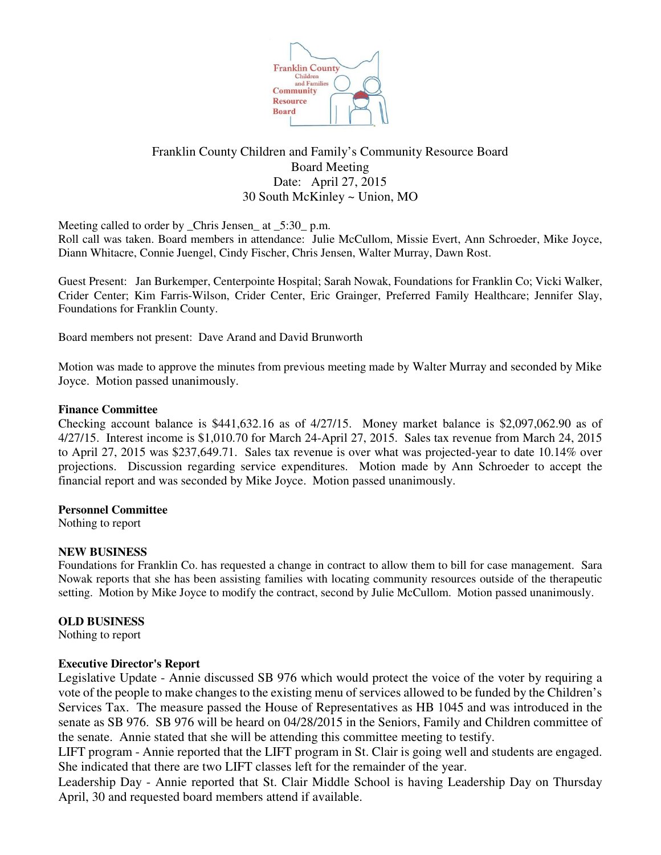

# Franklin County Children and Family's Community Resource Board Board Meeting Date: April 27, 2015 30 South McKinley ~ Union, MO

Meeting called to order by \_Chris Jensen\_ at \_5:30\_ p.m.

Roll call was taken. Board members in attendance: Julie McCullom, Missie Evert, Ann Schroeder, Mike Joyce, Diann Whitacre, Connie Juengel, Cindy Fischer, Chris Jensen, Walter Murray, Dawn Rost.

Guest Present: Jan Burkemper, Centerpointe Hospital; Sarah Nowak, Foundations for Franklin Co; Vicki Walker, Crider Center; Kim Farris-Wilson, Crider Center, Eric Grainger, Preferred Family Healthcare; Jennifer Slay, Foundations for Franklin County.

Board members not present: Dave Arand and David Brunworth

Motion was made to approve the minutes from previous meeting made by Walter Murray and seconded by Mike Joyce. Motion passed unanimously.

## **Finance Committee**

Checking account balance is \$441,632.16 as of 4/27/15. Money market balance is \$2,097,062.90 as of 4/27/15. Interest income is \$1,010.70 for March 24-April 27, 2015. Sales tax revenue from March 24, 2015 to April 27, 2015 was \$237,649.71. Sales tax revenue is over what was projected-year to date 10.14% over projections. Discussion regarding service expenditures. Motion made by Ann Schroeder to accept the financial report and was seconded by Mike Joyce. Motion passed unanimously.

## **Personnel Committee**

Nothing to report

## **NEW BUSINESS**

Foundations for Franklin Co. has requested a change in contract to allow them to bill for case management. Sara Nowak reports that she has been assisting families with locating community resources outside of the therapeutic setting. Motion by Mike Joyce to modify the contract, second by Julie McCullom. Motion passed unanimously.

## **OLD BUSINESS**

Nothing to report

## **Executive Director's Report**

Legislative Update - Annie discussed SB 976 which would protect the voice of the voter by requiring a vote of the people to make changes to the existing menu of services allowed to be funded by the Children's Services Tax. The measure passed the House of Representatives as HB 1045 and was introduced in the senate as SB 976. SB 976 will be heard on 04/28/2015 in the Seniors, Family and Children committee of the senate. Annie stated that she will be attending this committee meeting to testify.

LIFT program - Annie reported that the LIFT program in St. Clair is going well and students are engaged. She indicated that there are two LIFT classes left for the remainder of the year.

Leadership Day - Annie reported that St. Clair Middle School is having Leadership Day on Thursday April, 30 and requested board members attend if available.